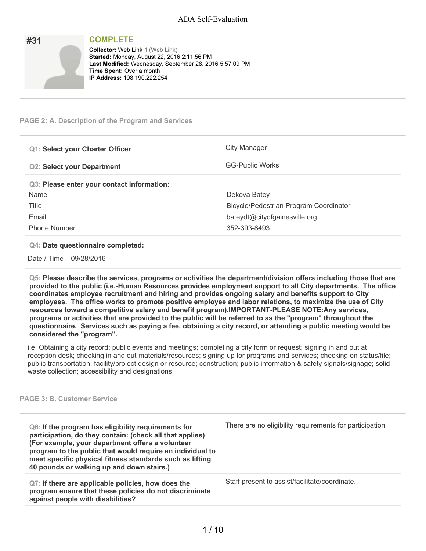| #31 | <b>COMPLETE</b>                                                                        |
|-----|----------------------------------------------------------------------------------------|
|     | <b>Collector: Web Link 1 (Web Link)</b><br>Started: Monday, August 22, 2016 2:11:56 PM |
|     | Last Modified: Wednesday, September 28, 2016 5:57:09 PM                                |
|     | <b>Time Spent: Over a month</b><br><b>IP Address: 198.190.222.254</b>                  |
|     |                                                                                        |

## **PAGE 2: A. Description of the Program and Services**

| <b>Q1: Select your Charter Officer</b>     | City Manager                           |
|--------------------------------------------|----------------------------------------|
| <b>Q2: Select your Department</b>          | <b>GG-Public Works</b>                 |
| Q3: Please enter your contact information: |                                        |
| Name                                       | Dekova Batey                           |
| Title                                      | Bicycle/Pedestrian Program Coordinator |
| Email                                      | bateydt@cityofgainesville.org          |
| <b>Phone Number</b>                        | 352-393-8493                           |

### **Q4: Date questionnaire completed:**

Date / Time 09/28/2016

**Q5: Please describe the services, programs or activities the department/division offers including those that are provided to the public (i.e.-Human Resources provides employment support to all City departments. The office coordinates employee recruitment and hiring and provides ongoing salary and benefits support to City employees. The office works to promote positive employee and labor relations, to maximize the use of City resources toward a competitive salary and benefit program).IMPORTANT-PLEASE NOTE:Any services,** programs or activities that are provided to the public will be referred to as the "program" throughout the questionnaire. Services such as paying a fee, obtaining a city record, or attending a public meeting would be **considered the "program".**

i.e. Obtaining a city record; public events and meetings; completing a city form or request; signing in and out at reception desk; checking in and out materials/resources; signing up for programs and services; checking on status/file; public transportation; facility/project design or resource; construction; public information & safety signals/signage; solid waste collection; accessibility and designations.

#### **PAGE 3: B. Customer Service**

**Q6: If the program has eligibility requirements for participation, do they contain: (check all that applies) (For example, your department offers a volunteer program to the public that would require an individual to meet specific physical fitness standards such as lifting 40 pounds or walking up and down stairs.)**

**Q7: If there are applicable policies, how does the program ensure that these policies do not discriminate against people with disabilities?**

There are no eligibility requirements for participation

Staff present to assist/facilitate/coordinate.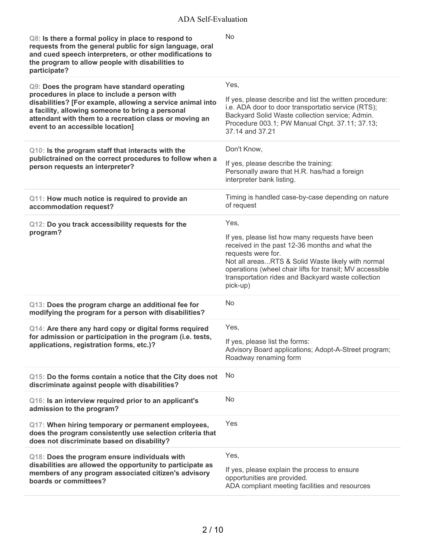| Q8: Is there a formal policy in place to respond to<br>requests from the general public for sign language, oral<br>and cued speech interpreters, or other modifications to<br>the program to allow people with disabilities to<br>participate?               | <b>No</b>                                                                                                                                                                                                                                                                                                  |
|--------------------------------------------------------------------------------------------------------------------------------------------------------------------------------------------------------------------------------------------------------------|------------------------------------------------------------------------------------------------------------------------------------------------------------------------------------------------------------------------------------------------------------------------------------------------------------|
| Q9: Does the program have standard operating                                                                                                                                                                                                                 | Yes,                                                                                                                                                                                                                                                                                                       |
| procedures in place to include a person with<br>disabilities? [For example, allowing a service animal into<br>a facility, allowing someone to bring a personal<br>attendant with them to a recreation class or moving an<br>event to an accessible location] | If yes, please describe and list the written procedure:<br>i.e. ADA door to door transportatio service (RTS);<br>Backyard Solid Waste collection service; Admin.<br>Procedure 003.1; PW Manual Chpt. 37.11; 37.13;<br>37.14 and 37.21                                                                      |
| Q10: Is the program staff that interacts with the                                                                                                                                                                                                            | Don't Know,                                                                                                                                                                                                                                                                                                |
| publictrained on the correct procedures to follow when a<br>person requests an interpreter?                                                                                                                                                                  | If yes, please describe the training:<br>Personally aware that H.R. has/had a foreign<br>interpreter bank listing.                                                                                                                                                                                         |
| Q11: How much notice is required to provide an<br>accommodation request?                                                                                                                                                                                     | Timing is handled case-by-case depending on nature<br>of request                                                                                                                                                                                                                                           |
| Q12: Do you track accessibility requests for the                                                                                                                                                                                                             | Yes,                                                                                                                                                                                                                                                                                                       |
| program?                                                                                                                                                                                                                                                     | If yes, please list how many requests have been<br>received in the past 12-36 months and what the<br>requests were for.<br>Not all areasRTS & Solid Waste likely with normal<br>operations (wheel chair lifts for transit; MV accessible<br>transportation rides and Backyard waste collection<br>pick-up) |
| Q13: Does the program charge an additional fee for<br>modifying the program for a person with disabilities?                                                                                                                                                  | No                                                                                                                                                                                                                                                                                                         |
| Q14: Are there any hard copy or digital forms required                                                                                                                                                                                                       | Yes,                                                                                                                                                                                                                                                                                                       |
| for admission or participation in the program (i.e. tests,<br>applications, registration forms, etc.)?                                                                                                                                                       | If yes, please list the forms:<br>Advisory Board applications; Adopt-A-Street program;<br>Roadway renaming form                                                                                                                                                                                            |
| Q15: Do the forms contain a notice that the City does not<br>discriminate against people with disabilities?                                                                                                                                                  | No                                                                                                                                                                                                                                                                                                         |
| Q16: Is an interview required prior to an applicant's<br>admission to the program?                                                                                                                                                                           | No                                                                                                                                                                                                                                                                                                         |
| Q17: When hiring temporary or permanent employees,<br>does the program consistently use selection criteria that<br>does not discriminate based on disability?                                                                                                | Yes                                                                                                                                                                                                                                                                                                        |
| Q18: Does the program ensure individuals with<br>disabilities are allowed the opportunity to participate as                                                                                                                                                  | Yes,                                                                                                                                                                                                                                                                                                       |
| members of any program associated citizen's advisory<br>boards or committees?                                                                                                                                                                                | If yes, please explain the process to ensure<br>opportunities are provided.<br>ADA compliant meeting facilities and resources                                                                                                                                                                              |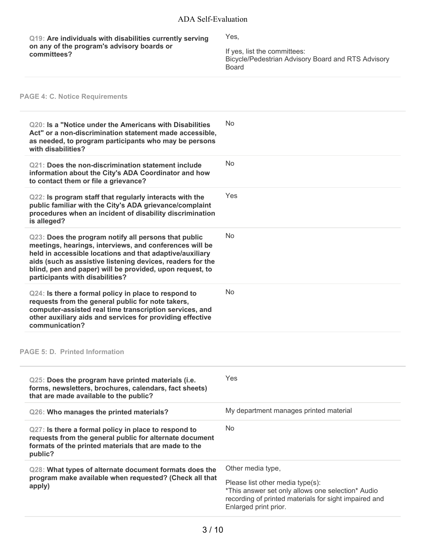**Q19: Are individuals with disabilities currently serving on any of the program's advisory boards or committees?**

Yes,

If yes, list the committees: Bicycle/Pedestrian Advisory Board and RTS Advisory Board

# **PAGE 4: C. Notice Requirements**

| Q20: Is a "Notice under the Americans with Disabilities<br>Act" or a non-discrimination statement made accessible,<br>as needed, to program participants who may be persons<br>with disabilities?                                                                                                                                        | No                                                                                                                                                                                           |
|------------------------------------------------------------------------------------------------------------------------------------------------------------------------------------------------------------------------------------------------------------------------------------------------------------------------------------------|----------------------------------------------------------------------------------------------------------------------------------------------------------------------------------------------|
| <b>Q21: Does the non-discrimination statement include</b><br>information about the City's ADA Coordinator and how<br>to contact them or file a grievance?                                                                                                                                                                                | <b>No</b>                                                                                                                                                                                    |
| Q22: Is program staff that regularly interacts with the<br>public familiar with the City's ADA grievance/complaint<br>procedures when an incident of disability discrimination<br>is alleged?                                                                                                                                            | Yes                                                                                                                                                                                          |
| Q23: Does the program notify all persons that public<br>meetings, hearings, interviews, and conferences will be<br>held in accessible locations and that adaptive/auxiliary<br>aids (such as assistive listening devices, readers for the<br>blind, pen and paper) will be provided, upon request, to<br>participants with disabilities? | <b>No</b>                                                                                                                                                                                    |
| Q24: Is there a formal policy in place to respond to<br>requests from the general public for note takers,<br>computer-assisted real time transcription services, and<br>other auxiliary aids and services for providing effective<br>communication?                                                                                      | <b>No</b>                                                                                                                                                                                    |
| <b>PAGE 5: D. Printed Information</b>                                                                                                                                                                                                                                                                                                    |                                                                                                                                                                                              |
| Q25: Does the program have printed materials (i.e.<br>forms, newsletters, brochures, calendars, fact sheets)<br>that are made available to the public?                                                                                                                                                                                   | Yes                                                                                                                                                                                          |
| Q26: Who manages the printed materials?                                                                                                                                                                                                                                                                                                  | My department manages printed material                                                                                                                                                       |
| Q27: Is there a formal policy in place to respond to<br>requests from the general public for alternate document<br>formats of the printed materials that are made to the<br>public?                                                                                                                                                      | <b>No</b>                                                                                                                                                                                    |
| Q28: What types of alternate document formats does the<br>program make available when requested? (Check all that<br>apply)                                                                                                                                                                                                               | Other media type,<br>Please list other media type(s):<br>*This answer set only allows one selection* Audio<br>recording of printed materials for sight impaired and<br>Enlarged print prior. |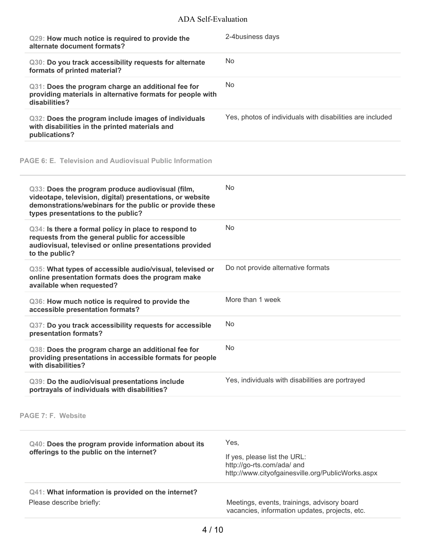# ADA Self-Evaluation

| Q29: How much notice is required to provide the<br>alternate document formats?                                                                                                                                 | 2-4business days                                                                                                        |
|----------------------------------------------------------------------------------------------------------------------------------------------------------------------------------------------------------------|-------------------------------------------------------------------------------------------------------------------------|
| Q30: Do you track accessibility requests for alternate<br>formats of printed material?                                                                                                                         | <b>No</b>                                                                                                               |
| Q31: Does the program charge an additional fee for<br>providing materials in alternative formats for people with<br>disabilities?                                                                              | No                                                                                                                      |
| Q32: Does the program include images of individuals<br>with disabilities in the printed materials and<br>publications?                                                                                         | Yes, photos of individuals with disabilities are included                                                               |
| PAGE 6: E. Television and Audiovisual Public Information                                                                                                                                                       |                                                                                                                         |
| Q33: Does the program produce audiovisual (film,<br>videotape, television, digital) presentations, or website<br>demonstrations/webinars for the public or provide these<br>types presentations to the public? | No.                                                                                                                     |
| Q34: Is there a formal policy in place to respond to<br>requests from the general public for accessible<br>audiovisual, televised or online presentations provided<br>to the public?                           | <b>No</b>                                                                                                               |
| Q35: What types of accessible audio/visual, televised or<br>online presentation formats does the program make<br>available when requested?                                                                     | Do not provide alternative formats                                                                                      |
| Q36: How much notice is required to provide the<br>accessible presentation formats?                                                                                                                            | More than 1 week                                                                                                        |
| Q37: Do you track accessibility requests for accessible<br>presentation formats?                                                                                                                               | <b>No</b>                                                                                                               |
| Q38: Does the program charge an additional fee for<br>providing presentations in accessible formats for people<br>with disabilities?                                                                           | No                                                                                                                      |
| Q39: Do the audio/visual presentations include<br>portrayals of individuals with disabilities?                                                                                                                 | Yes, individuals with disabilities are portrayed                                                                        |
| PAGE 7: F. Website                                                                                                                                                                                             |                                                                                                                         |
| Q40: Does the program provide information about its<br>offerings to the public on the internet?                                                                                                                | Yes,<br>If yes, please list the URL:<br>http://go-rts.com/ada/ and<br>http://www.cityofgainesville.org/PublicWorks.aspx |
| Q41: What information is provided on the internet?<br>Please describe briefly:                                                                                                                                 | Meetings, events, trainings, advisory board<br>vacancies, information updates, projects, etc.                           |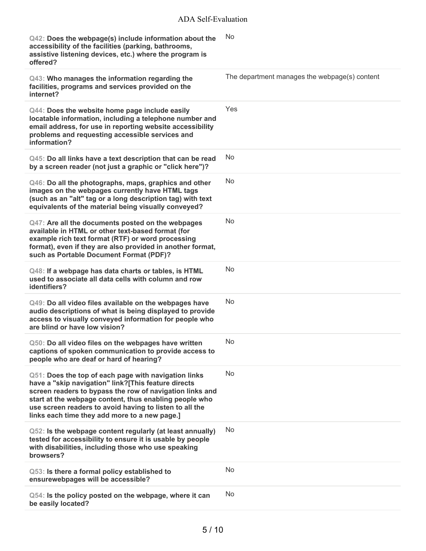| Q42: Does the webpage(s) include information about the<br>accessibility of the facilities (parking, bathrooms,<br>assistive listening devices, etc.) where the program is<br>offered?                                                                                                                                                         | No                                            |
|-----------------------------------------------------------------------------------------------------------------------------------------------------------------------------------------------------------------------------------------------------------------------------------------------------------------------------------------------|-----------------------------------------------|
| Q43: Who manages the information regarding the<br>facilities, programs and services provided on the<br>internet?                                                                                                                                                                                                                              | The department manages the webpage(s) content |
| Q44: Does the website home page include easily<br>locatable information, including a telephone number and<br>email address, for use in reporting website accessibility<br>problems and requesting accessible services and<br>information?                                                                                                     | Yes                                           |
| Q45: Do all links have a text description that can be read<br>by a screen reader (not just a graphic or "click here")?                                                                                                                                                                                                                        | No                                            |
| Q46: Do all the photographs, maps, graphics and other<br>images on the webpages currently have HTML tags<br>(such as an "alt" tag or a long description tag) with text<br>equivalents of the material being visually conveyed?                                                                                                                | <b>No</b>                                     |
| Q47: Are all the documents posted on the webpages<br>available in HTML or other text-based format (for<br>example rich text format (RTF) or word processing<br>format), even if they are also provided in another format,<br>such as Portable Document Format (PDF)?                                                                          | No                                            |
| Q48: If a webpage has data charts or tables, is HTML<br>used to associate all data cells with column and row<br>identifiers?                                                                                                                                                                                                                  | No                                            |
| Q49: Do all video files available on the webpages have<br>audio descriptions of what is being displayed to provide<br>access to visually conveyed information for people who<br>are blind or have low vision?                                                                                                                                 | No                                            |
| Q50: Do all video files on the webpages have written<br>captions of spoken communication to provide access to<br>people who are deaf or hard of hearing?                                                                                                                                                                                      | No                                            |
| Q51: Does the top of each page with navigation links<br>have a "skip navigation" link?[This feature directs<br>screen readers to bypass the row of navigation links and<br>start at the webpage content, thus enabling people who<br>use screen readers to avoid having to listen to all the<br>links each time they add more to a new page.] | No                                            |
| Q52: Is the webpage content regularly (at least annually)<br>tested for accessibility to ensure it is usable by people<br>with disabilities, including those who use speaking<br>browsers?                                                                                                                                                    | No                                            |
| Q53: Is there a formal policy established to<br>ensurewebpages will be accessible?                                                                                                                                                                                                                                                            | No                                            |
| Q54: Is the policy posted on the webpage, where it can<br>be easily located?                                                                                                                                                                                                                                                                  | <b>No</b>                                     |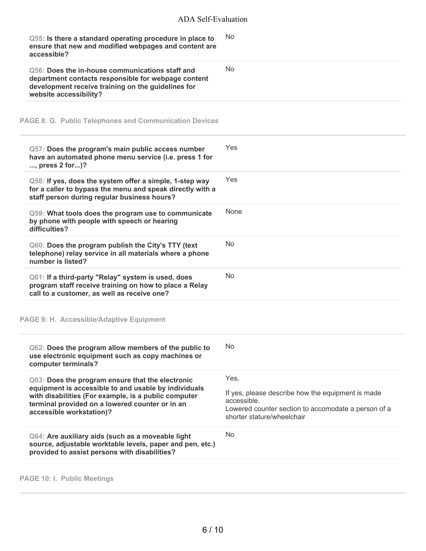| Q55: Is there a standard operating procedure in place to<br>ensure that new and modified webpages and content are<br>accessible?                                                                                                                | <b>No</b>                                                                                                                                                     |
|-------------------------------------------------------------------------------------------------------------------------------------------------------------------------------------------------------------------------------------------------|---------------------------------------------------------------------------------------------------------------------------------------------------------------|
| Q56: Does the in-house communications staff and<br>department contacts responsible for webpage content<br>development receive training on the guidelines for<br>website accessibility?                                                          | <b>No</b>                                                                                                                                                     |
| <b>PAGE 8: G. Public Telephones and Communication Devices</b>                                                                                                                                                                                   |                                                                                                                                                               |
| Q57: Does the program's main public access number<br>have an automated phone menu service (i.e. press 1 for<br>, press 2 for)?                                                                                                                  | Yes                                                                                                                                                           |
| Q58: If yes, does the system offer a simple, 1-step way<br>for a caller to bypass the menu and speak directly with a<br>staff person during regular business hours?                                                                             | Yes                                                                                                                                                           |
| Q59: What tools does the program use to communicate<br>by phone with people with speech or hearing<br>difficulties?                                                                                                                             | None                                                                                                                                                          |
| Q60: Does the program publish the City's TTY (text<br>telephone) relay service in all materials where a phone<br>number is listed?                                                                                                              | <b>No</b>                                                                                                                                                     |
| Q61: If a third-party "Relay" system is used, does<br>program staff receive training on how to place a Relay<br>call to a customer, as well as receive one?                                                                                     | <b>No</b>                                                                                                                                                     |
| PAGE 9: H. Accessible/Adaptive Equipment                                                                                                                                                                                                        |                                                                                                                                                               |
| Q62: Does the program allow members of the public to<br>use electronic equipment such as copy machines or<br>computer terminals?                                                                                                                | No                                                                                                                                                            |
| Q63: Does the program ensure that the electronic<br>equipment is accessible to and usable by individuals<br>with disabilities (For example, is a public computer<br>terminal provided on a lowered counter or in an<br>accessible workstation)? | Yes,<br>If yes, please describe how the equipment is made<br>accessible.<br>Lowered counter section to accomodate a person of a<br>shorter stature/wheelchair |
| Q64: Are auxiliary aids (such as a moveable light<br>source, adjustable worktable levels, paper and pen, etc.)<br>provided to assist persons with disabilities?                                                                                 | No                                                                                                                                                            |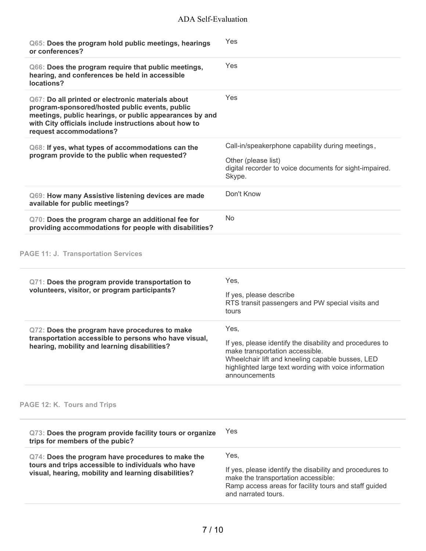# ADA Self-Evaluation

| Q65: Does the program hold public meetings, hearings<br>or conferences?                                                                                                                                                                            | Yes                                                                                                                                                                                                                                        |
|----------------------------------------------------------------------------------------------------------------------------------------------------------------------------------------------------------------------------------------------------|--------------------------------------------------------------------------------------------------------------------------------------------------------------------------------------------------------------------------------------------|
| Q66: Does the program require that public meetings,<br>hearing, and conferences be held in accessible<br>locations?                                                                                                                                | Yes                                                                                                                                                                                                                                        |
| Q67: Do all printed or electronic materials about<br>program-sponsored/hosted public events, public<br>meetings, public hearings, or public appearances by and<br>with City officials include instructions about how to<br>request accommodations? | Yes                                                                                                                                                                                                                                        |
| Q68: If yes, what types of accommodations can the<br>program provide to the public when requested?                                                                                                                                                 | Call-in/speakerphone capability during meetings,<br>Other (please list)<br>digital recorder to voice documents for sight-impaired.<br>Skype.                                                                                               |
| Q69: How many Assistive listening devices are made<br>available for public meetings?                                                                                                                                                               | Don't Know                                                                                                                                                                                                                                 |
| Q70: Does the program charge an additional fee for<br>providing accommodations for people with disabilities?                                                                                                                                       | <b>No</b>                                                                                                                                                                                                                                  |
| <b>PAGE 11: J. Transportation Services</b><br>Q71: Does the program provide transportation to<br>volunteers, visitor, or program participants?                                                                                                     | Yes,<br>If yes, please describe<br>RTS transit passengers and PW special visits and                                                                                                                                                        |
| Q72: Does the program have procedures to make<br>transportation accessible to persons who have visual,<br>hearing, mobility and learning disabilities?                                                                                             | tours<br>Yes,<br>If yes, please identify the disability and procedures to<br>make transportation accessible.<br>Wheelchair lift and kneeling capable busses, LED<br>highlighted large text wording with voice information<br>announcements |
| PAGE 12: K. Tours and Trips                                                                                                                                                                                                                        |                                                                                                                                                                                                                                            |
| Q73: Does the program provide facility tours or organize<br>trips for members of the pubic?                                                                                                                                                        | Yes                                                                                                                                                                                                                                        |
| Q74: Does the program have procedures to make the<br>tours and trips accessible to individuals who have                                                                                                                                            | Yes,                                                                                                                                                                                                                                       |

If yes, please identify the disability and procedures to make the transportation accessible: Ramp access areas for facility tours and staff guided and narrated tours.

**visual, hearing, mobility and learning disabilities?**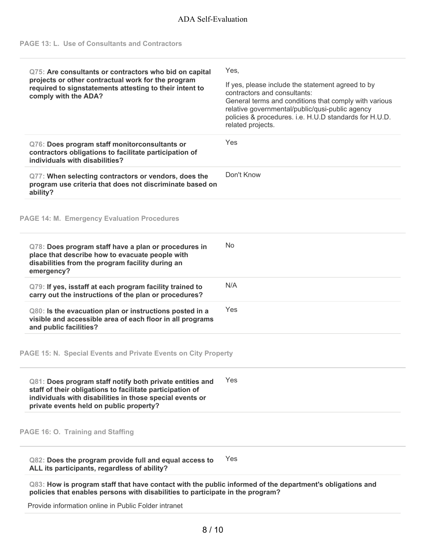| Q75: Are consultants or contractors who bid on capital<br>projects or other contractual work for the program<br>required to signstatements attesting to their intent to<br>comply with the ADA?                              | Yes,<br>If yes, please include the statement agreed to by<br>contractors and consultants:<br>General terms and conditions that comply with various<br>relative governmental/public/qusi-public agency<br>policies & procedures. i.e. H.U.D standards for H.U.D.<br>related projects. |
|------------------------------------------------------------------------------------------------------------------------------------------------------------------------------------------------------------------------------|--------------------------------------------------------------------------------------------------------------------------------------------------------------------------------------------------------------------------------------------------------------------------------------|
| Q76: Does program staff monitorconsultants or<br>contractors obligations to facilitate participation of<br>individuals with disabilities?                                                                                    | Yes                                                                                                                                                                                                                                                                                  |
| Q77: When selecting contractors or vendors, does the<br>program use criteria that does not discriminate based on<br>ability?                                                                                                 | Don't Know                                                                                                                                                                                                                                                                           |
| <b>PAGE 14: M. Emergency Evaluation Procedures</b>                                                                                                                                                                           |                                                                                                                                                                                                                                                                                      |
| Q78: Does program staff have a plan or procedures in<br>place that describe how to evacuate people with<br>disabilities from the program facility during an<br>emergency?                                                    | <b>No</b>                                                                                                                                                                                                                                                                            |
| Q79: If yes, isstaff at each program facility trained to<br>carry out the instructions of the plan or procedures?                                                                                                            | N/A                                                                                                                                                                                                                                                                                  |
| Q80: Is the evacuation plan or instructions posted in a<br>visible and accessible area of each floor in all programs<br>and public facilities?                                                                               | Yes                                                                                                                                                                                                                                                                                  |
| PAGE 15: N. Special Events and Private Events on City Property                                                                                                                                                               |                                                                                                                                                                                                                                                                                      |
| Q81: Does program staff notify both private entities and<br>staff of their obligations to facilitate participation of<br>individuals with disabilities in those special events or<br>private events held on public property? | Yes                                                                                                                                                                                                                                                                                  |
| PAGE 16: O. Training and Staffing                                                                                                                                                                                            |                                                                                                                                                                                                                                                                                      |
| Q82: Does the program provide full and equal access to<br>ALL its participants, regardless of ability?                                                                                                                       | Yes                                                                                                                                                                                                                                                                                  |
| policies that enables persons with disabilities to participate in the program?                                                                                                                                               | Q83: How is program staff that have contact with the public informed of the department's obligations and                                                                                                                                                                             |
| Provide information online in Public Folder intranet                                                                                                                                                                         |                                                                                                                                                                                                                                                                                      |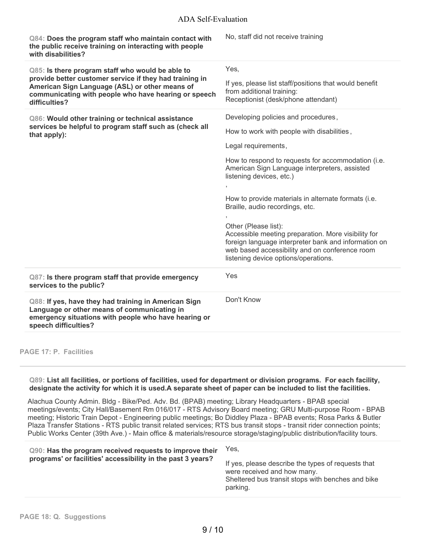# ADA Self-Evaluation

| Q84: Does the program staff who maintain contact with<br>the public receive training on interacting with people<br>with disabilities?                                                                                                  | No, staff did not receive training                                                                                                                                                                                                                                                                                                                                                                                                                                                                                                                                     |
|----------------------------------------------------------------------------------------------------------------------------------------------------------------------------------------------------------------------------------------|------------------------------------------------------------------------------------------------------------------------------------------------------------------------------------------------------------------------------------------------------------------------------------------------------------------------------------------------------------------------------------------------------------------------------------------------------------------------------------------------------------------------------------------------------------------------|
| Q85: Is there program staff who would be able to<br>provide better customer service if they had training in<br>American Sign Language (ASL) or other means of<br>communicating with people who have hearing or speech<br>difficulties? | Yes,<br>If yes, please list staff/positions that would benefit<br>from additional training:<br>Receptionist (desk/phone attendant)                                                                                                                                                                                                                                                                                                                                                                                                                                     |
| Q86: Would other training or technical assistance<br>services be helpful to program staff such as (check all<br>that apply):                                                                                                           | Developing policies and procedures,<br>How to work with people with disabilities,<br>Legal requirements,<br>How to respond to requests for accommodation (i.e.<br>American Sign Language interpreters, assisted<br>listening devices, etc.)<br>How to provide materials in alternate formats (i.e.<br>Braille, audio recordings, etc.<br>Other (Please list):<br>Accessible meeting preparation. More visibility for<br>foreign language interpreter bank and information on<br>web based accessibility and on conference room<br>listening device options/operations. |
| Q87: Is there program staff that provide emergency<br>services to the public?                                                                                                                                                          | Yes                                                                                                                                                                                                                                                                                                                                                                                                                                                                                                                                                                    |
| Q88: If yes, have they had training in American Sign<br>Language or other means of communicating in<br>emergency situations with people who have hearing or<br>speech difficulties?                                                    | Don't Know                                                                                                                                                                                                                                                                                                                                                                                                                                                                                                                                                             |

**PAGE 17: P. Facilities**

#### Q89: List all facilities, or portions of facilities, used for department or division programs. For each facility, designate the activity for which it is used.A separate sheet of paper can be included to list the facilities.

Alachua County Admin. Bldg - Bike/Ped. Adv. Bd. (BPAB) meeting; Library Headquarters - BPAB special meetings/events; City Hall/Basement Rm 016/017 - RTS Advisory Board meeting; GRU Multi-purpose Room - BPAB meeting; Historic Train Depot - Engineering public meetings; Bo Diddley Plaza - BPAB events; Rosa Parks & Butler Plaza Transfer Stations - RTS public transit related services; RTS bus transit stops - transit rider connection points; Public Works Center (39th Ave.) - Main office & materials/resource storage/staging/public distribution/facility tours.

| Q90: Has the program received requests to improve their     | Yes,                                                                                                                                               |
|-------------------------------------------------------------|----------------------------------------------------------------------------------------------------------------------------------------------------|
| programs' or facilities' accessibility in the past 3 years? | If yes, please describe the types of requests that<br>were received and how many.<br>Sheltered bus transit stops with benches and bike<br>parking. |
|                                                             |                                                                                                                                                    |